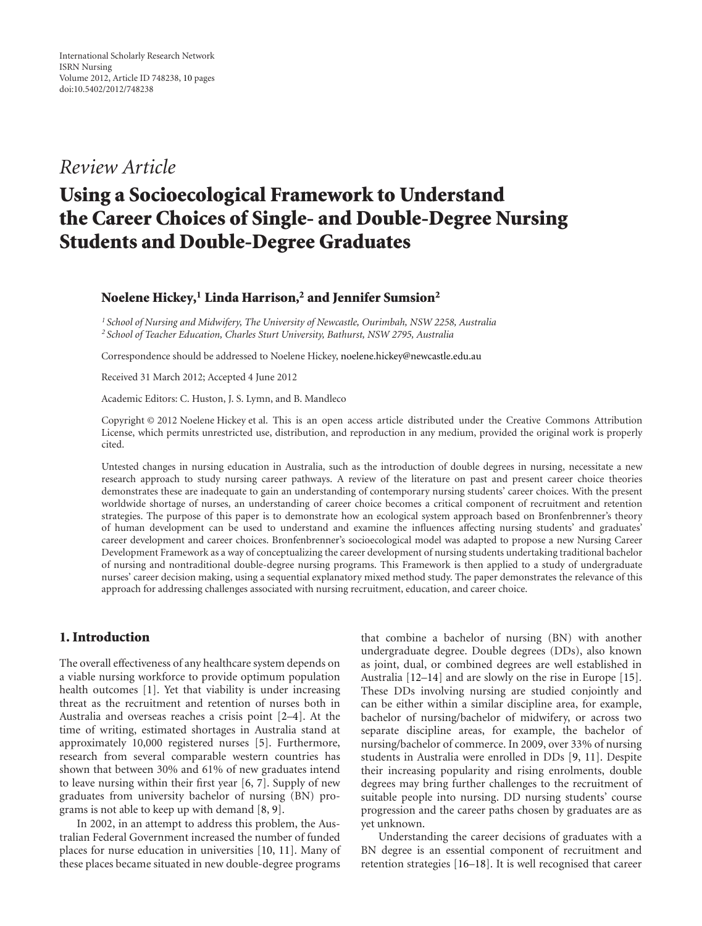## *Review Article*

# **Using a Socioecological Framework to Understand the Career Choices of Single- and Double-Degree Nursing Students and Double-Degree Graduates**

#### **Noelene Hickey,1 Linda Harrison,2 and Jennifer Sumsion2**

*<sup>1</sup> School of Nursing and Midwifery, The University of Newcastle, Ourimbah, NSW 2258, Australia <sup>2</sup> School of Teacher Education, Charles Sturt University, Bathurst, NSW 2795, Australia*

Correspondence should be addressed to Noelene Hickey, noelene.hickey@newcastle.edu.au

Received 31 March 2012; Accepted 4 June 2012

Academic Editors: C. Huston, J. S. Lymn, and B. Mandleco

Copyright © 2012 Noelene Hickey et al. This is an open access article distributed under the Creative Commons Attribution License, which permits unrestricted use, distribution, and reproduction in any medium, provided the original work is properly cited.

Untested changes in nursing education in Australia, such as the introduction of double degrees in nursing, necessitate a new research approach to study nursing career pathways. A review of the literature on past and present career choice theories demonstrates these are inadequate to gain an understanding of contemporary nursing students' career choices. With the present worldwide shortage of nurses, an understanding of career choice becomes a critical component of recruitment and retention strategies. The purpose of this paper is to demonstrate how an ecological system approach based on Bronfenbrenner's theory of human development can be used to understand and examine the influences affecting nursing students' and graduates' career development and career choices. Bronfenbrenner's socioecological model was adapted to propose a new Nursing Career Development Framework as a way of conceptualizing the career development of nursing students undertaking traditional bachelor of nursing and nontraditional double-degree nursing programs. This Framework is then applied to a study of undergraduate nurses' career decision making, using a sequential explanatory mixed method study. The paper demonstrates the relevance of this approach for addressing challenges associated with nursing recruitment, education, and career choice.

## **1. Introduction**

The overall effectiveness of any healthcare system depends on a viable nursing workforce to provide optimum population health outcomes [1]. Yet that viability is under increasing threat as the recruitment and retention of nurses both in Australia and overseas reaches a crisis point [2–4]. At the time of writing, estimated shortages in Australia stand at approximately 10,000 registered nurses [5]. Furthermore, research from several comparable western countries has shown that between 30% and 61% of new graduates intend to leave nursing within their first year [6, 7]. Supply of new graduates from university bachelor of nursing (BN) programs is not able to keep up with demand [8, 9].

In 2002, in an attempt to address this problem, the Australian Federal Government increased the number of funded places for nurse education in universities [10, 11]. Many of these places became situated in new double-degree programs

that combine a bachelor of nursing (BN) with another undergraduate degree. Double degrees (DDs), also known as joint, dual, or combined degrees are well established in Australia [12–14] and are slowly on the rise in Europe [15]. These DDs involving nursing are studied conjointly and can be either within a similar discipline area, for example, bachelor of nursing/bachelor of midwifery, or across two separate discipline areas, for example, the bachelor of nursing/bachelor of commerce. In 2009, over 33% of nursing students in Australia were enrolled in DDs [9, 11]. Despite their increasing popularity and rising enrolments, double degrees may bring further challenges to the recruitment of suitable people into nursing. DD nursing students' course progression and the career paths chosen by graduates are as yet unknown.

Understanding the career decisions of graduates with a BN degree is an essential component of recruitment and retention strategies [16–18]. It is well recognised that career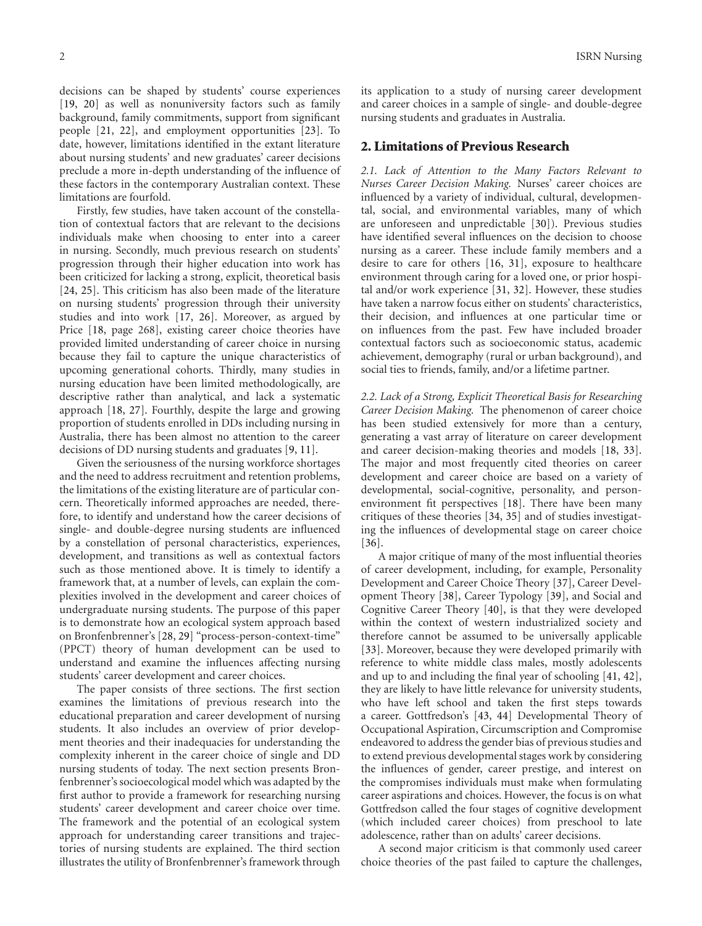decisions can be shaped by students' course experiences [19, 20] as well as nonuniversity factors such as family background, family commitments, support from significant people [21, 22], and employment opportunities [23]. To date, however, limitations identified in the extant literature about nursing students' and new graduates' career decisions preclude a more in-depth understanding of the influence of these factors in the contemporary Australian context. These limitations are fourfold.

Firstly, few studies, have taken account of the constellation of contextual factors that are relevant to the decisions individuals make when choosing to enter into a career in nursing. Secondly, much previous research on students' progression through their higher education into work has been criticized for lacking a strong, explicit, theoretical basis [24, 25]. This criticism has also been made of the literature on nursing students' progression through their university studies and into work [17, 26]. Moreover, as argued by Price [18, page 268], existing career choice theories have provided limited understanding of career choice in nursing because they fail to capture the unique characteristics of upcoming generational cohorts. Thirdly, many studies in nursing education have been limited methodologically, are descriptive rather than analytical, and lack a systematic approach [18, 27]. Fourthly, despite the large and growing proportion of students enrolled in DDs including nursing in Australia, there has been almost no attention to the career decisions of DD nursing students and graduates [9, 11].

Given the seriousness of the nursing workforce shortages and the need to address recruitment and retention problems, the limitations of the existing literature are of particular concern. Theoretically informed approaches are needed, therefore, to identify and understand how the career decisions of single- and double-degree nursing students are influenced by a constellation of personal characteristics, experiences, development, and transitions as well as contextual factors such as those mentioned above. It is timely to identify a framework that, at a number of levels, can explain the complexities involved in the development and career choices of undergraduate nursing students. The purpose of this paper is to demonstrate how an ecological system approach based on Bronfenbrenner's [28, 29] "process-person-context-time" (PPCT) theory of human development can be used to understand and examine the influences affecting nursing students' career development and career choices.

The paper consists of three sections. The first section examines the limitations of previous research into the educational preparation and career development of nursing students. It also includes an overview of prior development theories and their inadequacies for understanding the complexity inherent in the career choice of single and DD nursing students of today. The next section presents Bronfenbrenner's socioecological model which was adapted by the first author to provide a framework for researching nursing students' career development and career choice over time. The framework and the potential of an ecological system approach for understanding career transitions and trajectories of nursing students are explained. The third section illustrates the utility of Bronfenbrenner's framework through its application to a study of nursing career development and career choices in a sample of single- and double-degree nursing students and graduates in Australia.

#### **2. Limitations of Previous Research**

*2.1. Lack of Attention to the Many Factors Relevant to Nurses Career Decision Making.* Nurses' career choices are influenced by a variety of individual, cultural, developmental, social, and environmental variables, many of which are unforeseen and unpredictable [30]). Previous studies have identified several influences on the decision to choose nursing as a career. These include family members and a desire to care for others [16, 31], exposure to healthcare environment through caring for a loved one, or prior hospital and/or work experience [31, 32]. However, these studies have taken a narrow focus either on students' characteristics, their decision, and influences at one particular time or on influences from the past. Few have included broader contextual factors such as socioeconomic status, academic achievement, demography (rural or urban background), and social ties to friends, family, and/or a lifetime partner.

*2.2. Lack of a Strong, Explicit Theoretical Basis for Researching Career Decision Making.* The phenomenon of career choice has been studied extensively for more than a century, generating a vast array of literature on career development and career decision-making theories and models [18, 33]. The major and most frequently cited theories on career development and career choice are based on a variety of developmental, social-cognitive, personality, and personenvironment fit perspectives [18]. There have been many critiques of these theories [34, 35] and of studies investigating the influences of developmental stage on career choice [36].

A major critique of many of the most influential theories of career development, including, for example, Personality Development and Career Choice Theory [37], Career Development Theory [38], Career Typology [39], and Social and Cognitive Career Theory [40], is that they were developed within the context of western industrialized society and therefore cannot be assumed to be universally applicable [33]. Moreover, because they were developed primarily with reference to white middle class males, mostly adolescents and up to and including the final year of schooling [41, 42], they are likely to have little relevance for university students, who have left school and taken the first steps towards a career. Gottfredson's [43, 44] Developmental Theory of Occupational Aspiration, Circumscription and Compromise endeavored to address the gender bias of previous studies and to extend previous developmental stages work by considering the influences of gender, career prestige, and interest on the compromises individuals must make when formulating career aspirations and choices. However, the focus is on what Gottfredson called the four stages of cognitive development (which included career choices) from preschool to late adolescence, rather than on adults' career decisions.

A second major criticism is that commonly used career choice theories of the past failed to capture the challenges,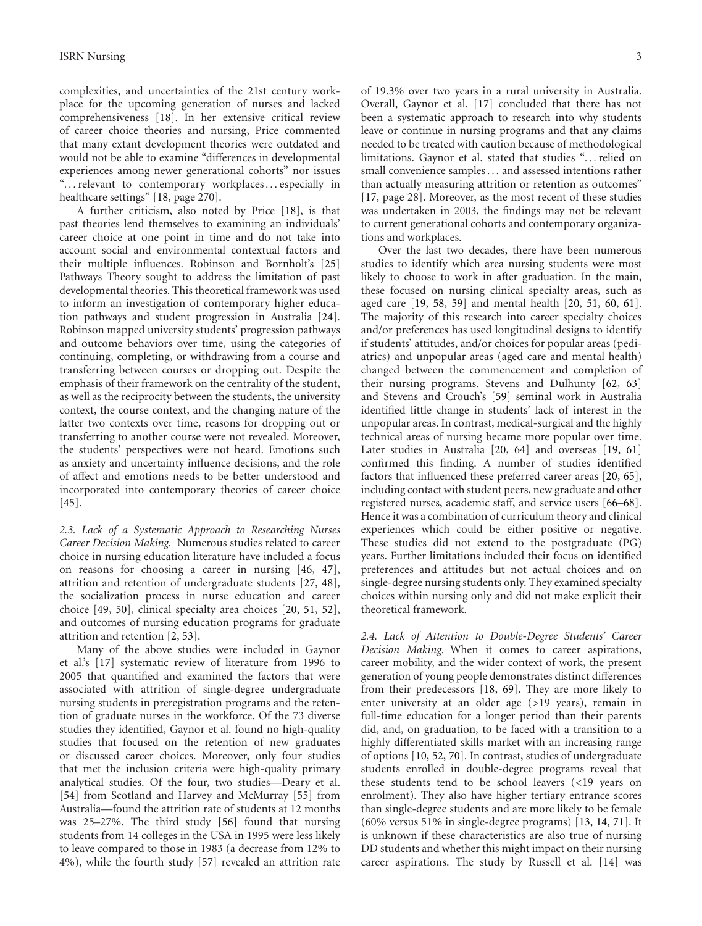complexities, and uncertainties of the 21st century workplace for the upcoming generation of nurses and lacked comprehensiveness [18]. In her extensive critical review of career choice theories and nursing, Price commented that many extant development theories were outdated and would not be able to examine "differences in developmental experiences among newer generational cohorts" nor issues "*...*relevant to contemporary workplaces*...* especially in healthcare settings" [18, page 270].

A further criticism, also noted by Price [18], is that past theories lend themselves to examining an individuals' career choice at one point in time and do not take into account social and environmental contextual factors and their multiple influences. Robinson and Bornholt's [25] Pathways Theory sought to address the limitation of past developmental theories. This theoretical framework was used to inform an investigation of contemporary higher education pathways and student progression in Australia [24]. Robinson mapped university students' progression pathways and outcome behaviors over time, using the categories of continuing, completing, or withdrawing from a course and transferring between courses or dropping out. Despite the emphasis of their framework on the centrality of the student, as well as the reciprocity between the students, the university context, the course context, and the changing nature of the latter two contexts over time, reasons for dropping out or transferring to another course were not revealed. Moreover, the students' perspectives were not heard. Emotions such as anxiety and uncertainty influence decisions, and the role of affect and emotions needs to be better understood and incorporated into contemporary theories of career choice [45].

*2.3. Lack of a Systematic Approach to Researching Nurses Career Decision Making.* Numerous studies related to career choice in nursing education literature have included a focus on reasons for choosing a career in nursing [46, 47], attrition and retention of undergraduate students [27, 48], the socialization process in nurse education and career choice [49, 50], clinical specialty area choices [20, 51, 52], and outcomes of nursing education programs for graduate attrition and retention [2, 53].

Many of the above studies were included in Gaynor et al.'s [17] systematic review of literature from 1996 to 2005 that quantified and examined the factors that were associated with attrition of single-degree undergraduate nursing students in preregistration programs and the retention of graduate nurses in the workforce. Of the 73 diverse studies they identified, Gaynor et al. found no high-quality studies that focused on the retention of new graduates or discussed career choices. Moreover, only four studies that met the inclusion criteria were high-quality primary analytical studies. Of the four, two studies—Deary et al. [54] from Scotland and Harvey and McMurray [55] from Australia—found the attrition rate of students at 12 months was 25–27%. The third study [56] found that nursing students from 14 colleges in the USA in 1995 were less likely to leave compared to those in 1983 (a decrease from 12% to 4%), while the fourth study [57] revealed an attrition rate

of 19.3% over two years in a rural university in Australia. Overall, Gaynor et al. [17] concluded that there has not been a systematic approach to research into why students leave or continue in nursing programs and that any claims needed to be treated with caution because of methodological limitations. Gaynor et al. stated that studies "*...*relied on small convenience samples*...* and assessed intentions rather than actually measuring attrition or retention as outcomes" [17, page 28]. Moreover, as the most recent of these studies was undertaken in 2003, the findings may not be relevant to current generational cohorts and contemporary organizations and workplaces.

Over the last two decades, there have been numerous studies to identify which area nursing students were most likely to choose to work in after graduation. In the main, these focused on nursing clinical specialty areas, such as aged care [19, 58, 59] and mental health [20, 51, 60, 61]. The majority of this research into career specialty choices and/or preferences has used longitudinal designs to identify if students' attitudes, and/or choices for popular areas (pediatrics) and unpopular areas (aged care and mental health) changed between the commencement and completion of their nursing programs. Stevens and Dulhunty [62, 63] and Stevens and Crouch's [59] seminal work in Australia identified little change in students' lack of interest in the unpopular areas. In contrast, medical-surgical and the highly technical areas of nursing became more popular over time. Later studies in Australia [20, 64] and overseas [19, 61] confirmed this finding. A number of studies identified factors that influenced these preferred career areas [20, 65], including contact with student peers, new graduate and other registered nurses, academic staff, and service users [66–68]. Hence it was a combination of curriculum theory and clinical experiences which could be either positive or negative. These studies did not extend to the postgraduate (PG) years. Further limitations included their focus on identified preferences and attitudes but not actual choices and on single-degree nursing students only. They examined specialty choices within nursing only and did not make explicit their theoretical framework.

*2.4. Lack of Attention to Double-Degree Students' Career Decision Making.* When it comes to career aspirations, career mobility, and the wider context of work, the present generation of young people demonstrates distinct differences from their predecessors [18, 69]. They are more likely to enter university at an older age (*>*19 years), remain in full-time education for a longer period than their parents did, and, on graduation, to be faced with a transition to a highly differentiated skills market with an increasing range of options [10, 52, 70]. In contrast, studies of undergraduate students enrolled in double-degree programs reveal that these students tend to be school leavers (*<*19 years on enrolment). They also have higher tertiary entrance scores than single-degree students and are more likely to be female (60% versus 51% in single-degree programs) [13, 14, 71]. It is unknown if these characteristics are also true of nursing DD students and whether this might impact on their nursing career aspirations. The study by Russell et al. [14] was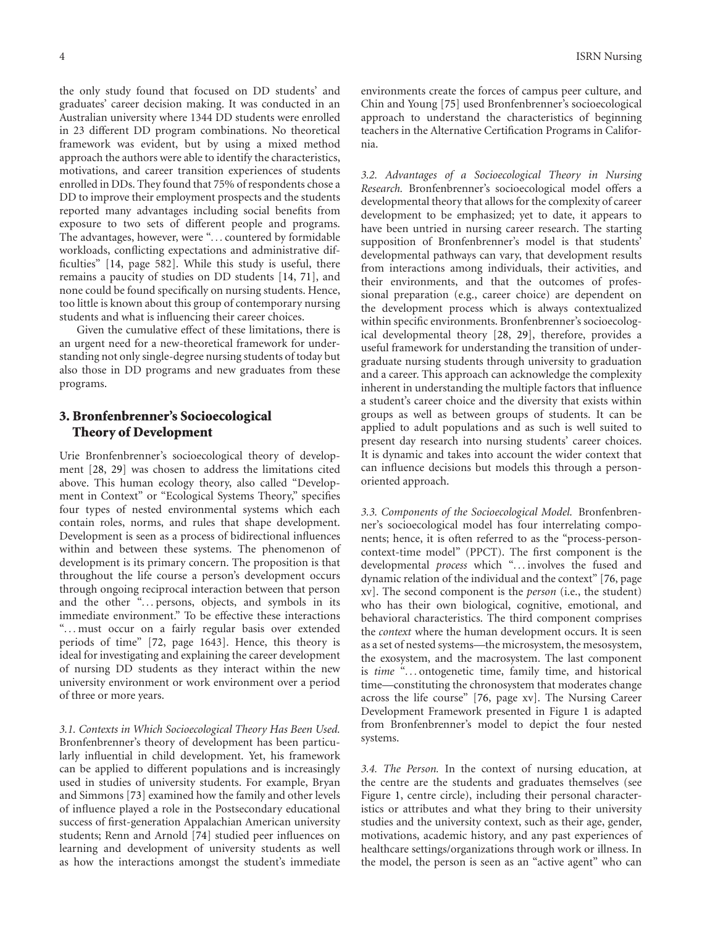the only study found that focused on DD students' and graduates' career decision making. It was conducted in an Australian university where 1344 DD students were enrolled in 23 different DD program combinations. No theoretical framework was evident, but by using a mixed method approach the authors were able to identify the characteristics, motivations, and career transition experiences of students enrolled in DDs. They found that 75% of respondents chose a DD to improve their employment prospects and the students reported many advantages including social benefits from exposure to two sets of different people and programs. The advantages, however, were "*...* countered by formidable workloads, conflicting expectations and administrative difficulties" [14, page 582]. While this study is useful, there remains a paucity of studies on DD students [14, 71], and none could be found specifically on nursing students. Hence, too little is known about this group of contemporary nursing students and what is influencing their career choices.

Given the cumulative effect of these limitations, there is an urgent need for a new-theoretical framework for understanding not only single-degree nursing students of today but also those in DD programs and new graduates from these programs.

## **3. Bronfenbrenner's Socioecological Theory of Development**

Urie Bronfenbrenner's socioecological theory of development [28, 29] was chosen to address the limitations cited above. This human ecology theory, also called "Development in Context" or "Ecological Systems Theory," specifies four types of nested environmental systems which each contain roles, norms, and rules that shape development. Development is seen as a process of bidirectional influences within and between these systems. The phenomenon of development is its primary concern. The proposition is that throughout the life course a person's development occurs through ongoing reciprocal interaction between that person and the other "*...* persons, objects, and symbols in its immediate environment." To be effective these interactions "*...* must occur on a fairly regular basis over extended periods of time" [72, page 1643]. Hence, this theory is ideal for investigating and explaining the career development of nursing DD students as they interact within the new university environment or work environment over a period of three or more years.

*3.1. Contexts in Which Socioecological Theory Has Been Used.* Bronfenbrenner's theory of development has been particularly influential in child development. Yet, his framework can be applied to different populations and is increasingly used in studies of university students. For example, Bryan and Simmons [73] examined how the family and other levels of influence played a role in the Postsecondary educational success of first-generation Appalachian American university students; Renn and Arnold [74] studied peer influences on learning and development of university students as well as how the interactions amongst the student's immediate environments create the forces of campus peer culture, and Chin and Young [75] used Bronfenbrenner's socioecological approach to understand the characteristics of beginning teachers in the Alternative Certification Programs in California.

*3.2. Advantages of a Socioecological Theory in Nursing Research.* Bronfenbrenner's socioecological model offers a developmental theory that allows for the complexity of career development to be emphasized; yet to date, it appears to have been untried in nursing career research. The starting supposition of Bronfenbrenner's model is that students' developmental pathways can vary, that development results from interactions among individuals, their activities, and their environments, and that the outcomes of professional preparation (e.g., career choice) are dependent on the development process which is always contextualized within specific environments. Bronfenbrenner's socioecological developmental theory [28, 29], therefore, provides a useful framework for understanding the transition of undergraduate nursing students through university to graduation and a career. This approach can acknowledge the complexity inherent in understanding the multiple factors that influence a student's career choice and the diversity that exists within groups as well as between groups of students. It can be applied to adult populations and as such is well suited to present day research into nursing students' career choices. It is dynamic and takes into account the wider context that can influence decisions but models this through a personoriented approach.

*3.3. Components of the Socioecological Model.* Bronfenbrenner's socioecological model has four interrelating components; hence, it is often referred to as the "process-personcontext-time model" (PPCT). The first component is the developmental *process* which "*...* involves the fused and dynamic relation of the individual and the context" [76, page xv]. The second component is the *person* (i.e., the student) who has their own biological, cognitive, emotional, and behavioral characteristics. The third component comprises the *context* where the human development occurs. It is seen as a set of nested systems—the microsystem, the mesosystem, the exosystem, and the macrosystem. The last component is *time* "*...* ontogenetic time, family time, and historical time—constituting the chronosystem that moderates change across the life course" [76, page xv]. The Nursing Career Development Framework presented in Figure 1 is adapted from Bronfenbrenner's model to depict the four nested systems.

*3.4. The Person.* In the context of nursing education, at the centre are the students and graduates themselves (see Figure 1, centre circle), including their personal characteristics or attributes and what they bring to their university studies and the university context, such as their age, gender, motivations, academic history, and any past experiences of healthcare settings/organizations through work or illness. In the model, the person is seen as an "active agent" who can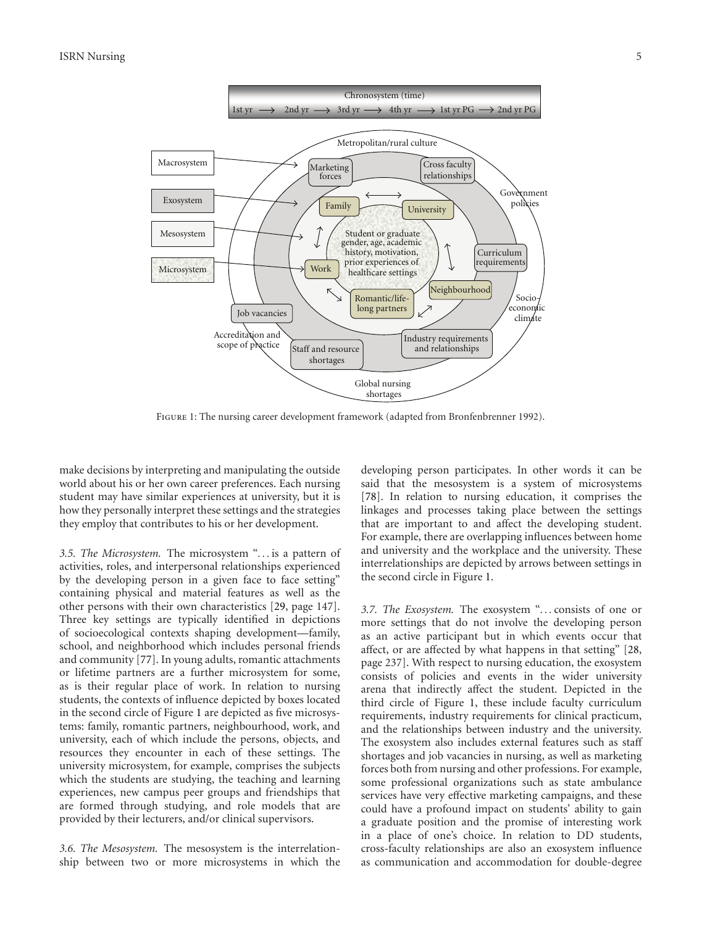

Figure 1: The nursing career development framework (adapted from Bronfenbrenner 1992).

make decisions by interpreting and manipulating the outside world about his or her own career preferences. Each nursing student may have similar experiences at university, but it is how they personally interpret these settings and the strategies they employ that contributes to his or her development.

*3.5. The Microsystem.* The microsystem "*...* is a pattern of activities, roles, and interpersonal relationships experienced by the developing person in a given face to face setting" containing physical and material features as well as the other persons with their own characteristics [29, page 147]. Three key settings are typically identified in depictions of socioecological contexts shaping development—family, school, and neighborhood which includes personal friends and community [77]. In young adults, romantic attachments or lifetime partners are a further microsystem for some, as is their regular place of work. In relation to nursing students, the contexts of influence depicted by boxes located in the second circle of Figure 1 are depicted as five microsystems: family, romantic partners, neighbourhood, work, and university, each of which include the persons, objects, and resources they encounter in each of these settings. The university microsystem, for example, comprises the subjects which the students are studying, the teaching and learning experiences, new campus peer groups and friendships that are formed through studying, and role models that are provided by their lecturers, and/or clinical supervisors.

*3.6. The Mesosystem.* The mesosystem is the interrelationship between two or more microsystems in which the developing person participates. In other words it can be said that the mesosystem is a system of microsystems [78]. In relation to nursing education, it comprises the linkages and processes taking place between the settings that are important to and affect the developing student. For example, there are overlapping influences between home and university and the workplace and the university. These interrelationships are depicted by arrows between settings in the second circle in Figure 1.

*3.7. The Exosystem.* The exosystem "*...* consists of one or more settings that do not involve the developing person as an active participant but in which events occur that affect, or are affected by what happens in that setting" [28, page 237]. With respect to nursing education, the exosystem consists of policies and events in the wider university arena that indirectly affect the student. Depicted in the third circle of Figure 1, these include faculty curriculum requirements, industry requirements for clinical practicum, and the relationships between industry and the university. The exosystem also includes external features such as staff shortages and job vacancies in nursing, as well as marketing forces both from nursing and other professions. For example, some professional organizations such as state ambulance services have very effective marketing campaigns, and these could have a profound impact on students' ability to gain a graduate position and the promise of interesting work in a place of one's choice. In relation to DD students, cross-faculty relationships are also an exosystem influence as communication and accommodation for double-degree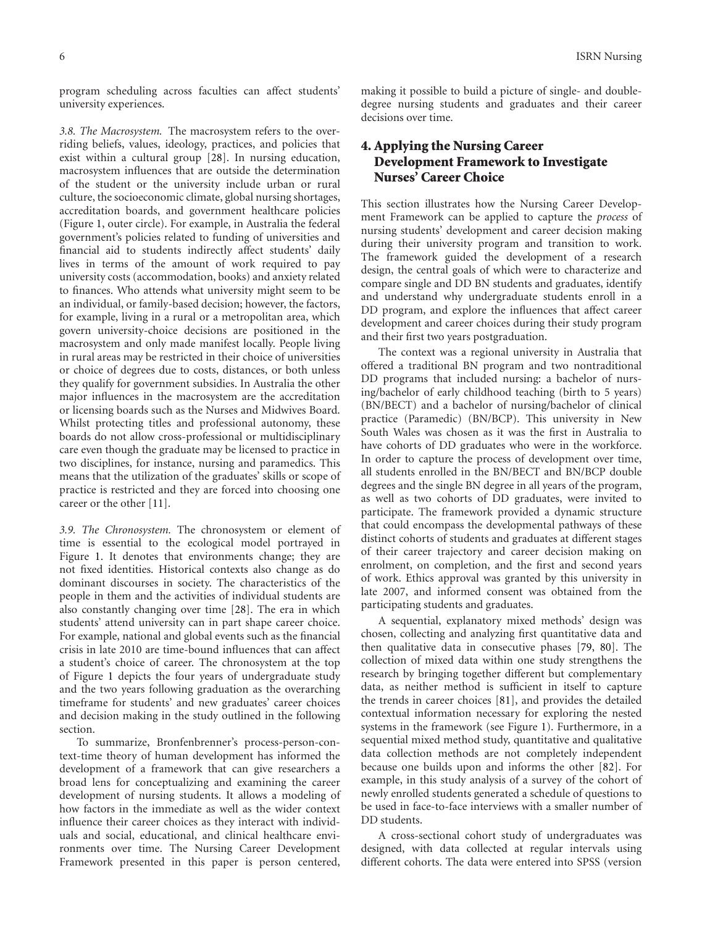program scheduling across faculties can affect students' university experiences.

*3.8. The Macrosystem.* The macrosystem refers to the overriding beliefs, values, ideology, practices, and policies that exist within a cultural group [28]. In nursing education, macrosystem influences that are outside the determination of the student or the university include urban or rural culture, the socioeconomic climate, global nursing shortages, accreditation boards, and government healthcare policies (Figure 1, outer circle). For example, in Australia the federal government's policies related to funding of universities and financial aid to students indirectly affect students' daily lives in terms of the amount of work required to pay university costs (accommodation, books) and anxiety related to finances. Who attends what university might seem to be an individual, or family-based decision; however, the factors, for example, living in a rural or a metropolitan area, which govern university-choice decisions are positioned in the macrosystem and only made manifest locally. People living in rural areas may be restricted in their choice of universities or choice of degrees due to costs, distances, or both unless they qualify for government subsidies. In Australia the other major influences in the macrosystem are the accreditation or licensing boards such as the Nurses and Midwives Board. Whilst protecting titles and professional autonomy, these boards do not allow cross-professional or multidisciplinary care even though the graduate may be licensed to practice in two disciplines, for instance, nursing and paramedics. This means that the utilization of the graduates' skills or scope of practice is restricted and they are forced into choosing one career or the other [11].

*3.9. The Chronosystem.* The chronosystem or element of time is essential to the ecological model portrayed in Figure 1. It denotes that environments change; they are not fixed identities. Historical contexts also change as do dominant discourses in society. The characteristics of the people in them and the activities of individual students are also constantly changing over time [28]. The era in which students' attend university can in part shape career choice. For example, national and global events such as the financial crisis in late 2010 are time-bound influences that can affect a student's choice of career. The chronosystem at the top of Figure 1 depicts the four years of undergraduate study and the two years following graduation as the overarching timeframe for students' and new graduates' career choices and decision making in the study outlined in the following section.

To summarize, Bronfenbrenner's process-person-context-time theory of human development has informed the development of a framework that can give researchers a broad lens for conceptualizing and examining the career development of nursing students. It allows a modeling of how factors in the immediate as well as the wider context influence their career choices as they interact with individuals and social, educational, and clinical healthcare environments over time. The Nursing Career Development Framework presented in this paper is person centered,

making it possible to build a picture of single- and doubledegree nursing students and graduates and their career decisions over time.

## **4. Applying the Nursing Career Development Framework to Investigate Nurses' Career Choice**

This section illustrates how the Nursing Career Development Framework can be applied to capture the *process* of nursing students' development and career decision making during their university program and transition to work. The framework guided the development of a research design, the central goals of which were to characterize and compare single and DD BN students and graduates, identify and understand why undergraduate students enroll in a DD program, and explore the influences that affect career development and career choices during their study program and their first two years postgraduation.

The context was a regional university in Australia that offered a traditional BN program and two nontraditional DD programs that included nursing: a bachelor of nursing/bachelor of early childhood teaching (birth to 5 years) (BN/BECT) and a bachelor of nursing/bachelor of clinical practice (Paramedic) (BN/BCP). This university in New South Wales was chosen as it was the first in Australia to have cohorts of DD graduates who were in the workforce. In order to capture the process of development over time, all students enrolled in the BN/BECT and BN/BCP double degrees and the single BN degree in all years of the program, as well as two cohorts of DD graduates, were invited to participate. The framework provided a dynamic structure that could encompass the developmental pathways of these distinct cohorts of students and graduates at different stages of their career trajectory and career decision making on enrolment, on completion, and the first and second years of work. Ethics approval was granted by this university in late 2007, and informed consent was obtained from the participating students and graduates.

A sequential, explanatory mixed methods' design was chosen, collecting and analyzing first quantitative data and then qualitative data in consecutive phases [79, 80]. The collection of mixed data within one study strengthens the research by bringing together different but complementary data, as neither method is sufficient in itself to capture the trends in career choices [81], and provides the detailed contextual information necessary for exploring the nested systems in the framework (see Figure 1). Furthermore, in a sequential mixed method study, quantitative and qualitative data collection methods are not completely independent because one builds upon and informs the other [82]. For example, in this study analysis of a survey of the cohort of newly enrolled students generated a schedule of questions to be used in face-to-face interviews with a smaller number of DD students.

A cross-sectional cohort study of undergraduates was designed, with data collected at regular intervals using different cohorts. The data were entered into SPSS (version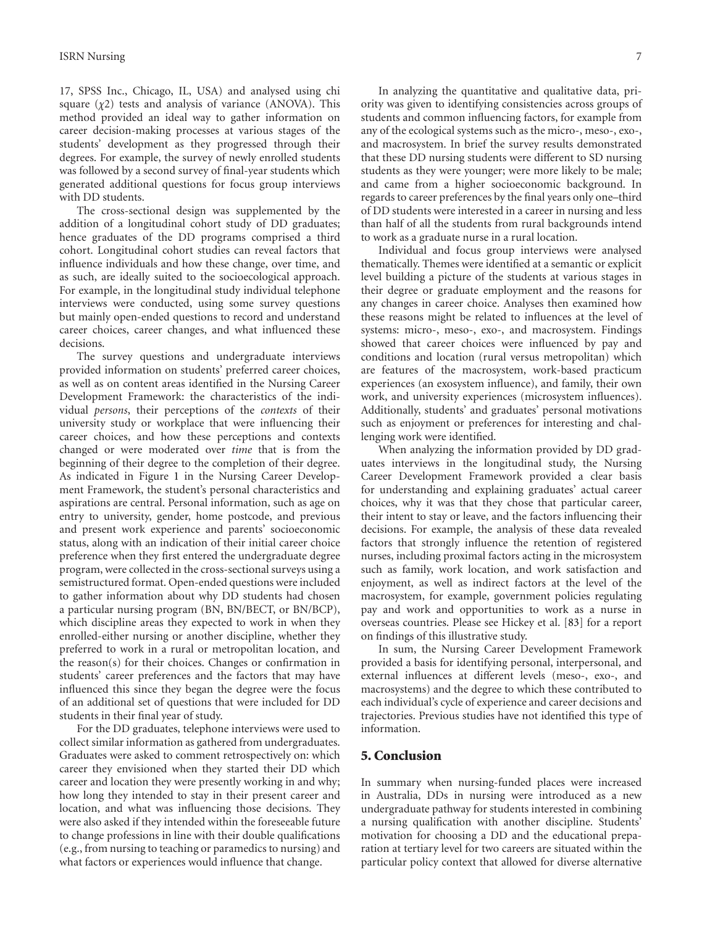17, SPSS Inc., Chicago, IL, USA) and analysed using chi square (*χ*2) tests and analysis of variance (ANOVA). This method provided an ideal way to gather information on career decision-making processes at various stages of the students' development as they progressed through their degrees. For example, the survey of newly enrolled students was followed by a second survey of final-year students which generated additional questions for focus group interviews with DD students.

The cross-sectional design was supplemented by the addition of a longitudinal cohort study of DD graduates; hence graduates of the DD programs comprised a third cohort. Longitudinal cohort studies can reveal factors that influence individuals and how these change, over time, and as such, are ideally suited to the socioecological approach. For example, in the longitudinal study individual telephone interviews were conducted, using some survey questions but mainly open-ended questions to record and understand career choices, career changes, and what influenced these decisions.

The survey questions and undergraduate interviews provided information on students' preferred career choices, as well as on content areas identified in the Nursing Career Development Framework: the characteristics of the individual *persons*, their perceptions of the *contexts* of their university study or workplace that were influencing their career choices, and how these perceptions and contexts changed or were moderated over *time* that is from the beginning of their degree to the completion of their degree. As indicated in Figure 1 in the Nursing Career Development Framework, the student's personal characteristics and aspirations are central. Personal information, such as age on entry to university, gender, home postcode, and previous and present work experience and parents' socioeconomic status, along with an indication of their initial career choice preference when they first entered the undergraduate degree program, were collected in the cross-sectional surveys using a semistructured format. Open-ended questions were included to gather information about why DD students had chosen a particular nursing program (BN, BN/BECT, or BN/BCP), which discipline areas they expected to work in when they enrolled-either nursing or another discipline, whether they preferred to work in a rural or metropolitan location, and the reason(s) for their choices. Changes or confirmation in students' career preferences and the factors that may have influenced this since they began the degree were the focus of an additional set of questions that were included for DD students in their final year of study.

For the DD graduates, telephone interviews were used to collect similar information as gathered from undergraduates. Graduates were asked to comment retrospectively on: which career they envisioned when they started their DD which career and location they were presently working in and why; how long they intended to stay in their present career and location, and what was influencing those decisions. They were also asked if they intended within the foreseeable future to change professions in line with their double qualifications (e.g., from nursing to teaching or paramedics to nursing) and what factors or experiences would influence that change.

In analyzing the quantitative and qualitative data, priority was given to identifying consistencies across groups of students and common influencing factors, for example from any of the ecological systems such as the micro-, meso-, exo-, and macrosystem. In brief the survey results demonstrated that these DD nursing students were different to SD nursing students as they were younger; were more likely to be male; and came from a higher socioeconomic background. In regards to career preferences by the final years only one–third of DD students were interested in a career in nursing and less than half of all the students from rural backgrounds intend to work as a graduate nurse in a rural location.

Individual and focus group interviews were analysed thematically. Themes were identified at a semantic or explicit level building a picture of the students at various stages in their degree or graduate employment and the reasons for any changes in career choice. Analyses then examined how these reasons might be related to influences at the level of systems: micro-, meso-, exo-, and macrosystem. Findings showed that career choices were influenced by pay and conditions and location (rural versus metropolitan) which are features of the macrosystem, work-based practicum experiences (an exosystem influence), and family, their own work, and university experiences (microsystem influences). Additionally, students' and graduates' personal motivations such as enjoyment or preferences for interesting and challenging work were identified.

When analyzing the information provided by DD graduates interviews in the longitudinal study, the Nursing Career Development Framework provided a clear basis for understanding and explaining graduates' actual career choices, why it was that they chose that particular career, their intent to stay or leave, and the factors influencing their decisions. For example, the analysis of these data revealed factors that strongly influence the retention of registered nurses, including proximal factors acting in the microsystem such as family, work location, and work satisfaction and enjoyment, as well as indirect factors at the level of the macrosystem, for example, government policies regulating pay and work and opportunities to work as a nurse in overseas countries. Please see Hickey et al. [83] for a report on findings of this illustrative study.

In sum, the Nursing Career Development Framework provided a basis for identifying personal, interpersonal, and external influences at different levels (meso-, exo-, and macrosystems) and the degree to which these contributed to each individual's cycle of experience and career decisions and trajectories. Previous studies have not identified this type of information.

#### **5. Conclusion**

In summary when nursing-funded places were increased in Australia, DDs in nursing were introduced as a new undergraduate pathway for students interested in combining a nursing qualification with another discipline. Students' motivation for choosing a DD and the educational preparation at tertiary level for two careers are situated within the particular policy context that allowed for diverse alternative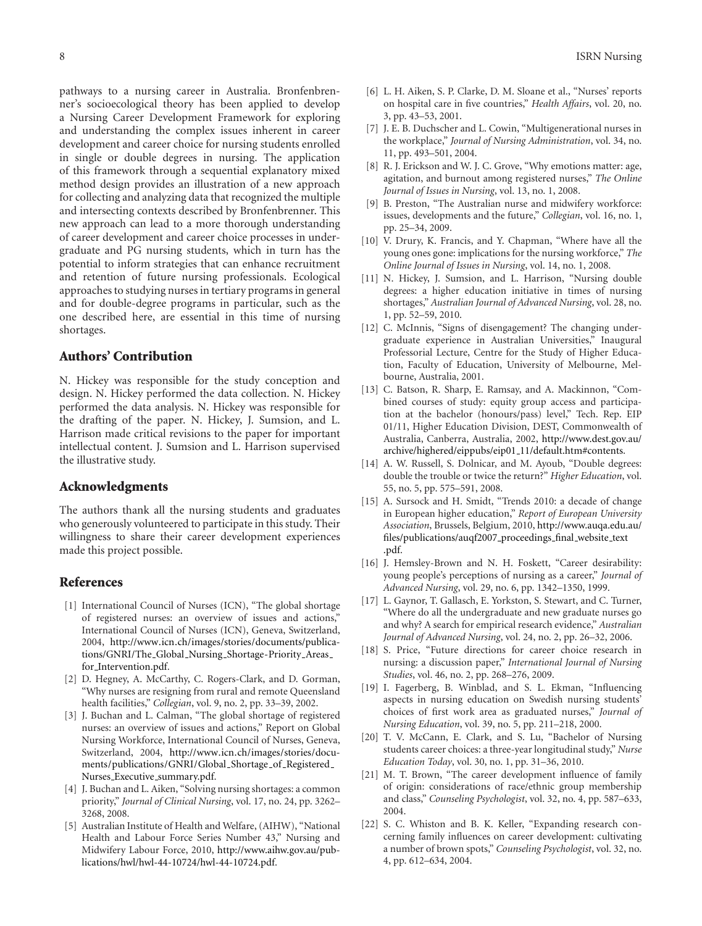pathways to a nursing career in Australia. Bronfenbrenner's socioecological theory has been applied to develop a Nursing Career Development Framework for exploring and understanding the complex issues inherent in career development and career choice for nursing students enrolled in single or double degrees in nursing. The application of this framework through a sequential explanatory mixed method design provides an illustration of a new approach for collecting and analyzing data that recognized the multiple and intersecting contexts described by Bronfenbrenner. This new approach can lead to a more thorough understanding of career development and career choice processes in undergraduate and PG nursing students, which in turn has the potential to inform strategies that can enhance recruitment and retention of future nursing professionals. Ecological approaches to studying nurses in tertiary programs in general and for double-degree programs in particular, such as the one described here, are essential in this time of nursing shortages.

## **Authors' Contribution**

N. Hickey was responsible for the study conception and design. N. Hickey performed the data collection. N. Hickey performed the data analysis. N. Hickey was responsible for the drafting of the paper. N. Hickey, J. Sumsion, and L. Harrison made critical revisions to the paper for important intellectual content. J. Sumsion and L. Harrison supervised the illustrative study.

#### **Acknowledgments**

The authors thank all the nursing students and graduates who generously volunteered to participate in this study. Their willingness to share their career development experiences made this project possible.

#### **References**

- [1] International Council of Nurses (ICN), "The global shortage of registered nurses: an overview of issues and actions," International Council of Nurses (ICN), Geneva, Switzerland, 2004, http://www.icn.ch/images/stories/documents/publications/GNRI/The Global Nursing Shortage-Priority Areas for Intervention.pdf.
- [2] D. Hegney, A. McCarthy, C. Rogers-Clark, and D. Gorman, "Why nurses are resigning from rural and remote Queensland health facilities," *Collegian*, vol. 9, no. 2, pp. 33–39, 2002.
- [3] J. Buchan and L. Calman, "The global shortage of registered nurses: an overview of issues and actions," Report on Global Nursing Workforce, International Council of Nurses, Geneva, Switzerland, 2004, http://www.icn.ch/images/stories/documents/publications/GNRI/Global\_Shortage\_of\_Registered\_ Nurses\_Executive\_summary.pdf.
- [4] J. Buchan and L. Aiken, "Solving nursing shortages: a common priority," *Journal of Clinical Nursing*, vol. 17, no. 24, pp. 3262– 3268, 2008.
- [5] Australian Institute of Health and Welfare, (AIHW), "National Health and Labour Force Series Number 43," Nursing and Midwifery Labour Force, 2010, http://www.aihw.gov.au/publications/hwl/hwl-44-10724/hwl-44-10724.pdf.
- [6] L. H. Aiken, S. P. Clarke, D. M. Sloane et al., "Nurses' reports on hospital care in five countries," *Health Affairs*, vol. 20, no. 3, pp. 43–53, 2001.
- [7] J. E. B. Duchscher and L. Cowin, "Multigenerational nurses in the workplace," *Journal of Nursing Administration*, vol. 34, no. 11, pp. 493–501, 2004.
- [8] R. J. Erickson and W. J. C. Grove, "Why emotions matter: age, agitation, and burnout among registered nurses," *The Online Journal of Issues in Nursing*, vol. 13, no. 1, 2008.
- [9] B. Preston, "The Australian nurse and midwifery workforce: issues, developments and the future," *Collegian*, vol. 16, no. 1, pp. 25–34, 2009.
- [10] V. Drury, K. Francis, and Y. Chapman, "Where have all the young ones gone: implications for the nursing workforce," *The Online Journal of Issues in Nursing*, vol. 14, no. 1, 2008.
- [11] N. Hickey, J. Sumsion, and L. Harrison, "Nursing double degrees: a higher education initiative in times of nursing shortages," *Australian Journal of Advanced Nursing*, vol. 28, no. 1, pp. 52–59, 2010.
- [12] C. McInnis, "Signs of disengagement? The changing undergraduate experience in Australian Universities," Inaugural Professorial Lecture, Centre for the Study of Higher Education, Faculty of Education, University of Melbourne, Melbourne, Australia, 2001.
- [13] C. Batson, R. Sharp, E. Ramsay, and A. Mackinnon, "Combined courses of study: equity group access and participation at the bachelor (honours/pass) level," Tech. Rep. EIP 01/11, Higher Education Division, DEST, Commonwealth of Australia, Canberra, Australia, 2002, http://www.dest.gov.au/ archive/highered/eippubs/eip01 11/default.htm#contents.
- [14] A. W. Russell, S. Dolnicar, and M. Ayoub, "Double degrees: double the trouble or twice the return?" *Higher Education*, vol. 55, no. 5, pp. 575–591, 2008.
- [15] A. Sursock and H. Smidt, "Trends 2010: a decade of change in European higher education," *Report of European University Association*, Brussels, Belgium, 2010, http://www.auqa.edu.au/ files/publications/auqf2007\_proceedings\_final\_website\_text .pdf.
- [16] J. Hemsley-Brown and N. H. Foskett, "Career desirability: young people's perceptions of nursing as a career," *Journal of Advanced Nursing*, vol. 29, no. 6, pp. 1342–1350, 1999.
- [17] L. Gaynor, T. Gallasch, E. Yorkston, S. Stewart, and C. Turner, "Where do all the undergraduate and new graduate nurses go and why? A search for empirical research evidence," *Australian Journal of Advanced Nursing*, vol. 24, no. 2, pp. 26–32, 2006.
- [18] S. Price, "Future directions for career choice research in nursing: a discussion paper," *International Journal of Nursing Studies*, vol. 46, no. 2, pp. 268–276, 2009.
- [19] I. Fagerberg, B. Winblad, and S. L. Ekman, "Influencing aspects in nursing education on Swedish nursing students' choices of first work area as graduated nurses," *Journal of Nursing Education*, vol. 39, no. 5, pp. 211–218, 2000.
- [20] T. V. McCann, E. Clark, and S. Lu, "Bachelor of Nursing students career choices: a three-year longitudinal study," *Nurse Education Today*, vol. 30, no. 1, pp. 31–36, 2010.
- [21] M. T. Brown, "The career development influence of family of origin: considerations of race/ethnic group membership and class," *Counseling Psychologist*, vol. 32, no. 4, pp. 587–633, 2004.
- [22] S. C. Whiston and B. K. Keller, "Expanding research concerning family influences on career development: cultivating a number of brown spots," *Counseling Psychologist*, vol. 32, no. 4, pp. 612–634, 2004.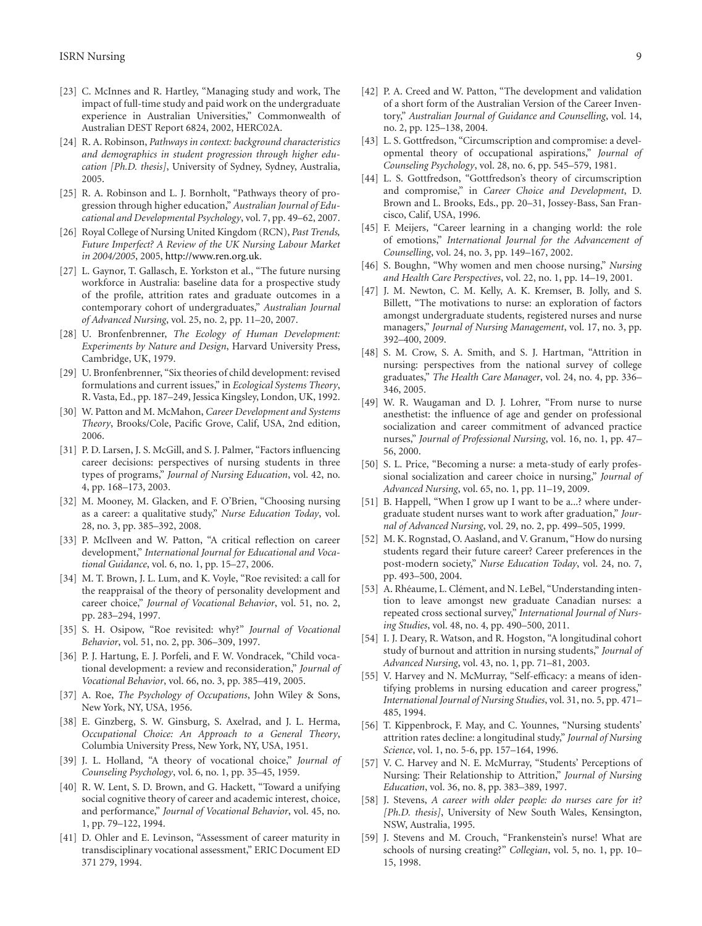- [23] C. McInnes and R. Hartley, "Managing study and work, The impact of full-time study and paid work on the undergraduate experience in Australian Universities," Commonwealth of Australian DEST Report 6824, 2002, HERC02A.
- [24] R. A. Robinson, *Pathways in context: background characteristics and demographics in student progression through higher education [Ph.D. thesis]*, University of Sydney, Sydney, Australia, 2005.
- [25] R. A. Robinson and L. J. Bornholt, "Pathways theory of progression through higher education," *Australian Journal of Educational and Developmental Psychology*, vol. 7, pp. 49–62, 2007.
- [26] Royal College of Nursing United Kingdom (RCN), *Past Trends, Future Imperfect? A Review of the UK Nursing Labour Market in 2004/2005*, 2005, http://www.ren.org.uk.
- [27] L. Gaynor, T. Gallasch, E. Yorkston et al., "The future nursing workforce in Australia: baseline data for a prospective study of the profile, attrition rates and graduate outcomes in a contemporary cohort of undergraduates," *Australian Journal of Advanced Nursing*, vol. 25, no. 2, pp. 11–20, 2007.
- [28] U. Bronfenbrenner, *The Ecology of Human Development: Experiments by Nature and Design*, Harvard University Press, Cambridge, UK, 1979.
- [29] U. Bronfenbrenner, "Six theories of child development: revised formulations and current issues," in *Ecological Systems Theory*, R. Vasta, Ed., pp. 187–249, Jessica Kingsley, London, UK, 1992.
- [30] W. Patton and M. McMahon, *Career Development and Systems Theory*, Brooks/Cole, Pacific Grove, Calif, USA, 2nd edition, 2006.
- [31] P. D. Larsen, J. S. McGill, and S. J. Palmer, "Factors influencing career decisions: perspectives of nursing students in three types of programs," *Journal of Nursing Education*, vol. 42, no. 4, pp. 168–173, 2003.
- [32] M. Mooney, M. Glacken, and F. O'Brien, "Choosing nursing as a career: a qualitative study," *Nurse Education Today*, vol. 28, no. 3, pp. 385–392, 2008.
- [33] P. McIlveen and W. Patton, "A critical reflection on career development," *International Journal for Educational and Vocational Guidance*, vol. 6, no. 1, pp. 15–27, 2006.
- [34] M. T. Brown, J. L. Lum, and K. Voyle, "Roe revisited: a call for the reappraisal of the theory of personality development and career choice," *Journal of Vocational Behavior*, vol. 51, no. 2, pp. 283–294, 1997.
- [35] S. H. Osipow, "Roe revisited: why?" *Journal of Vocational Behavior*, vol. 51, no. 2, pp. 306–309, 1997.
- [36] P. J. Hartung, E. J. Porfeli, and F. W. Vondracek, "Child vocational development: a review and reconsideration," *Journal of Vocational Behavior*, vol. 66, no. 3, pp. 385–419, 2005.
- [37] A. Roe, *The Psychology of Occupations*, John Wiley & Sons, New York, NY, USA, 1956.
- [38] E. Ginzberg, S. W. Ginsburg, S. Axelrad, and J. L. Herma, *Occupational Choice: An Approach to a General Theory*, Columbia University Press, New York, NY, USA, 1951.
- [39] J. L. Holland, "A theory of vocational choice," *Journal of Counseling Psychology*, vol. 6, no. 1, pp. 35–45, 1959.
- [40] R. W. Lent, S. D. Brown, and G. Hackett, "Toward a unifying social cognitive theory of career and academic interest, choice, and performance," *Journal of Vocational Behavior*, vol. 45, no. 1, pp. 79–122, 1994.
- [41] D. Ohler and E. Levinson, "Assessment of career maturity in transdisciplinary vocational assessment," ERIC Document ED 371 279, 1994.
- [42] P. A. Creed and W. Patton, "The development and validation of a short form of the Australian Version of the Career Inventory," *Australian Journal of Guidance and Counselling*, vol. 14, no. 2, pp. 125–138, 2004.
- [43] L. S. Gottfredson, "Circumscription and compromise: a developmental theory of occupational aspirations," *Journal of Counseling Psychology*, vol. 28, no. 6, pp. 545–579, 1981.
- [44] L. S. Gottfredson, "Gottfredson's theory of circumscription and compromise," in *Career Choice and Development*, D. Brown and L. Brooks, Eds., pp. 20–31, Jossey-Bass, San Francisco, Calif, USA, 1996.
- [45] F. Meijers, "Career learning in a changing world: the role of emotions," *International Journal for the Advancement of Counselling*, vol. 24, no. 3, pp. 149–167, 2002.
- [46] S. Boughn, "Why women and men choose nursing," *Nursing and Health Care Perspectives*, vol. 22, no. 1, pp. 14–19, 2001.
- [47] J. M. Newton, C. M. Kelly, A. K. Kremser, B. Jolly, and S. Billett, "The motivations to nurse: an exploration of factors amongst undergraduate students, registered nurses and nurse managers," *Journal of Nursing Management*, vol. 17, no. 3, pp. 392–400, 2009.
- [48] S. M. Crow, S. A. Smith, and S. J. Hartman, "Attrition in nursing: perspectives from the national survey of college graduates," *The Health Care Manager*, vol. 24, no. 4, pp. 336– 346, 2005.
- [49] W. R. Waugaman and D. J. Lohrer, "From nurse to nurse anesthetist: the influence of age and gender on professional socialization and career commitment of advanced practice nurses," *Journal of Professional Nursing*, vol. 16, no. 1, pp. 47– 56, 2000.
- [50] S. L. Price, "Becoming a nurse: a meta-study of early professional socialization and career choice in nursing," *Journal of Advanced Nursing*, vol. 65, no. 1, pp. 11–19, 2009.
- [51] B. Happell, "When I grow up I want to be a...? where undergraduate student nurses want to work after graduation," *Journal of Advanced Nursing*, vol. 29, no. 2, pp. 499–505, 1999.
- [52] M. K. Rognstad, O. Aasland, and V. Granum, "How do nursing students regard their future career? Career preferences in the post-modern society," *Nurse Education Today*, vol. 24, no. 7, pp. 493–500, 2004.
- [53] A. Rhéaume, L. Clément, and N. LeBel, "Understanding intention to leave amongst new graduate Canadian nurses: a repeated cross sectional survey," *International Journal of Nursing Studies*, vol. 48, no. 4, pp. 490–500, 2011.
- [54] I. J. Deary, R. Watson, and R. Hogston, "A longitudinal cohort study of burnout and attrition in nursing students," *Journal of Advanced Nursing*, vol. 43, no. 1, pp. 71–81, 2003.
- [55] V. Harvey and N. McMurray, "Self-efficacy: a means of identifying problems in nursing education and career progress," *International Journal of Nursing Studies*, vol. 31, no. 5, pp. 471– 485, 1994.
- [56] T. Kippenbrock, F. May, and C. Younnes, "Nursing students' attrition rates decline: a longitudinal study," *Journal of Nursing Science*, vol. 1, no. 5-6, pp. 157–164, 1996.
- [57] V. C. Harvey and N. E. McMurray, "Students' Perceptions of Nursing: Their Relationship to Attrition," *Journal of Nursing Education*, vol. 36, no. 8, pp. 383–389, 1997.
- [58] J. Stevens, *A career with older people: do nurses care for it? [Ph.D. thesis]*, University of New South Wales, Kensington, NSW, Australia, 1995.
- [59] J. Stevens and M. Crouch, "Frankenstein's nurse! What are schools of nursing creating?" *Collegian*, vol. 5, no. 1, pp. 10– 15, 1998.